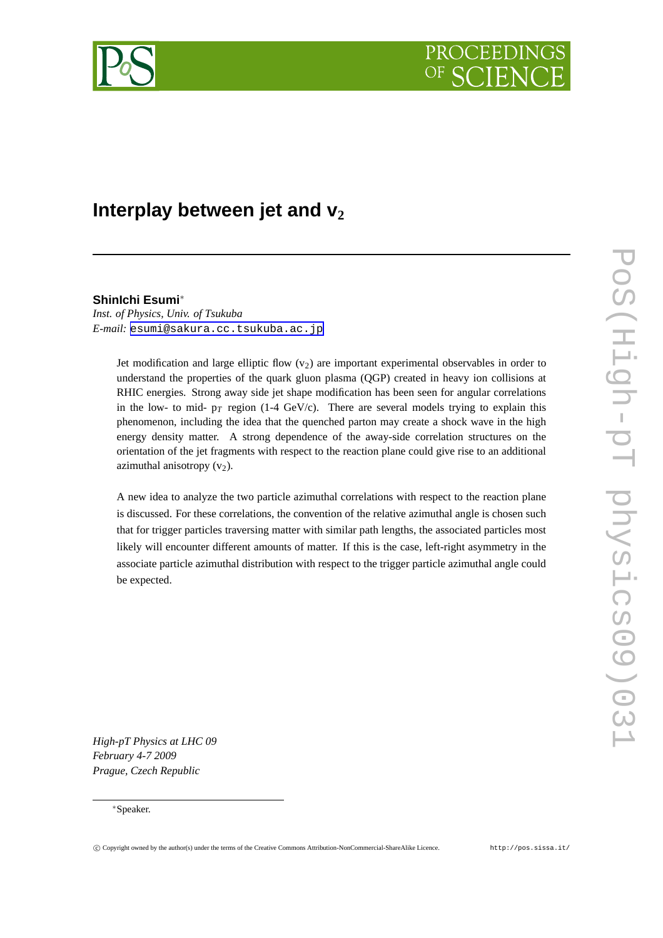

# **Interplay between jet and v<sup>2</sup>**

# **ShinIchi Esumi**<sup>∗</sup>

*Inst. of Physics, Univ. of Tsukuba E-mail:* [esumi@sakura.cc.tsukuba.ac.jp](mailto:esumi@sakura.cc.tsukuba.ac.jp)

> Jet modification and large elliptic flow  $(v_2)$  are important experimental observables in order to understand the properties of the quark gluon plasma (QGP) created in heavy ion collisions at RHIC energies. Strong away side jet shape modification has been seen for angular correlations in the low- to mid-  $p_T$  region (1-4 GeV/c). There are several models trying to explain this phenomenon, including the idea that the quenched parton may create a shock wave in the high energy density matter. A strong dependence of the away-side correlation structures on the orientation of the jet fragments with respect to the reaction plane could give rise to an additional azimuthal anisotropy  $(v_2)$ .

> A new idea to analyze the two particle azimuthal correlations with respect to the reaction plane is discussed. For these correlations, the convention of the relative azimuthal angle is chosen such that for trigger particles traversing matter with similar path lengths, the associated particles most likely will encounter different amounts of matter. If this is the case, left-right asymmetry in the associate particle azimuthal distribution with respect to the trigger particle azimuthal angle could be expected.

*High-pT Physics at LHC 09 February 4-7 2009 Prague, Czech Republic*

### <sup>∗</sup>Speaker.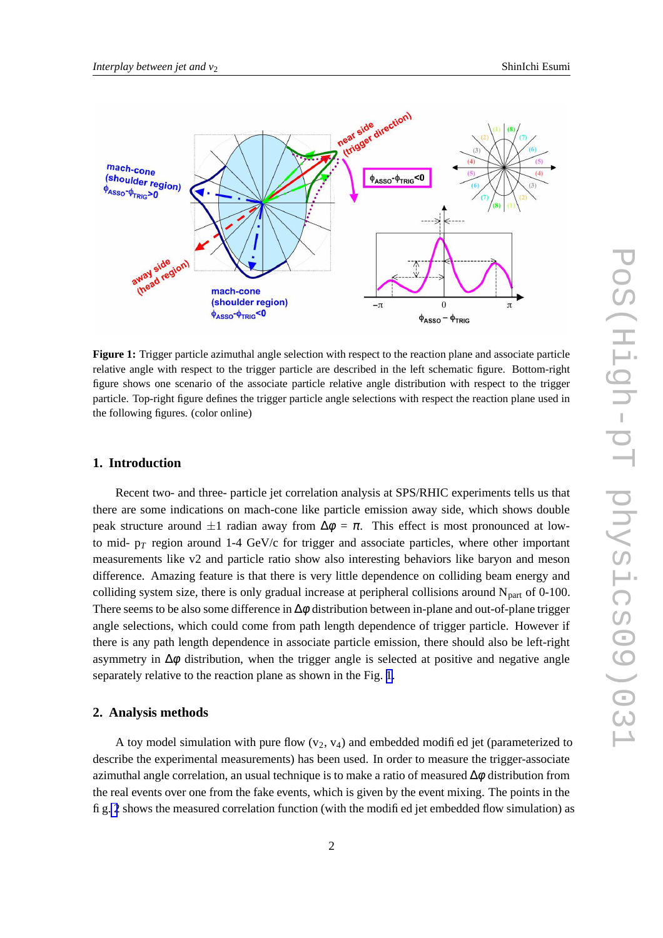<span id="page-1-0"></span>

**Figure 1:** Trigger particle azimuthal angle selection with respect to the reaction plane and associate particle relative angle with respect to the trigger particle are described in the left schematic figure. Bottom-right figure shows one scenario of the associate particle relative angle distribution with respect to the trigger particle. Top-right figure defines the trigger particle angle selections with respect the reaction plane used in the following figures. (color online)

#### **1. Introduction**

Recent two- and three- particle jet correlation analysis at SPS/RHIC experiments tells us that there are some indications on mach-cone like particle emission away side, which shows double peak structure around  $\pm 1$  radian away from  $\Delta \phi = \pi$ . This effect is most pronounced at lowto mid-  $p_T$  region around 1-4 GeV/c for trigger and associate particles, where other important measurements like v2 and particle ratio show also interesting behaviors like baryon and meson difference. Amazing feature is that there is very little dependence on colliding beam energy and colliding system size, there is only gradual increase at peripheral collisions around  $N_{\text{part}}$  of 0-100. There seems to be also some difference in  $\Delta \phi$  distribution between in-plane and out-of-plane trigger angle selections, which could come from path length dependence of trigger particle. However if there is any path length dependence in associate particle emission, there should also be left-right asymmetry in  $\Delta \phi$  distribution, when the trigger angle is selected at positive and negative angle separately relative to the reaction plane as shown in the Fig. 1.

#### **2. Analysis methods**

A toy model simulation with pure flow  $(v_2, v_4)$  and embedded modified jet (parameterized to describe the experimental measurements) has been used. In order to measure the trigger-associate azimuthal angle correlation, an usual technique is to make a ratio of measured  $\Delta \phi$  distribution from the real events over one from the fake events, which is given by the event mixing. The points in the fig. [2](#page-2-0) shows the measured correlation function (with the modified jet embedded flow simulation) as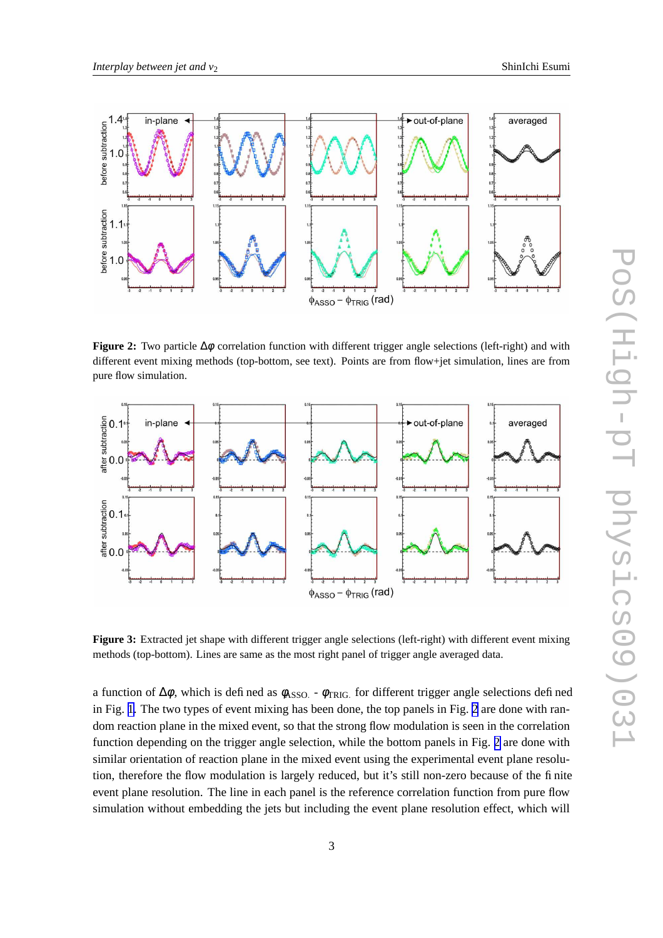<span id="page-2-0"></span>

**Figure 2:** Two particle ∆φ correlation function with different trigger angle selections (left-right) and with different event mixing methods (top-bottom, see text). Points are from flow+jet simulation, lines are from pure flow simulation.



**Figure 3:** Extracted jet shape with different trigger angle selections (left-right) with different event mixing methods (top-bottom). Lines are same as the most right panel of trigger angle averaged data.

a function of  $\Delta\phi$ , which is defined as  $\phi$ <sub>ASSO.</sub> -  $\phi$ <sub>TRIG</sub> for different trigger angle selections defined in Fig. [1.](#page-1-0) The two types of event mixing has been done, the top panels in Fig. 2 are done with random reaction plane in the mixed event, so that the strong flow modulation is seen in the correlation function depending on the trigger angle selection, while the bottom panels in Fig. 2 are done with similar orientation of reaction plane in the mixed event using the experimental event plane resolution, therefore the flow modulation is largely reduced, but it's still non-zero because of the finite event plane resolution. The line in each panel is the reference correlation function from pure flow simulation without embedding the jets but including the event plane resolution effect, which will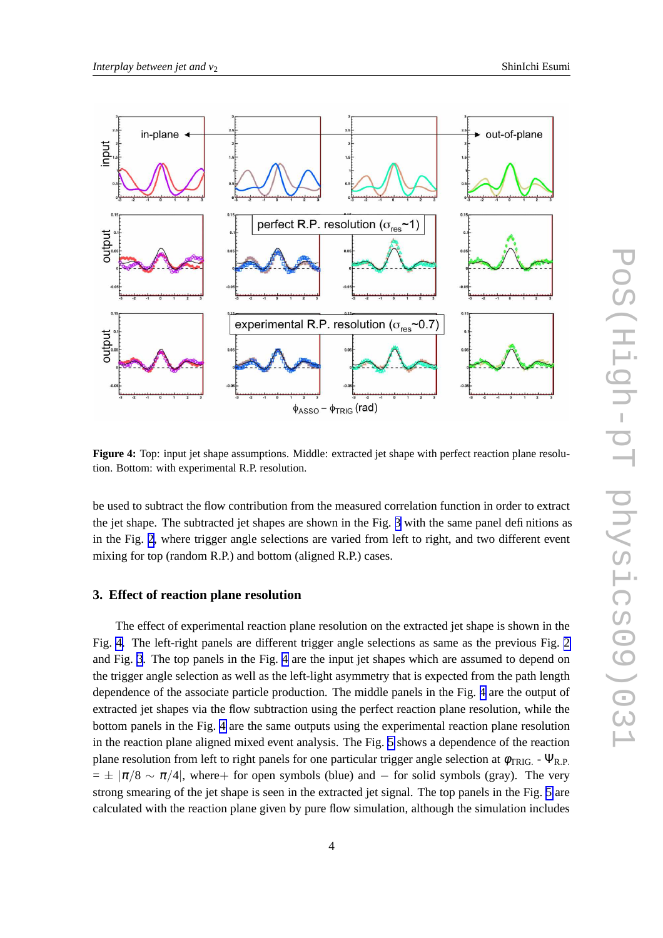

**Figure 4:** Top: input jet shape assumptions. Middle: extracted jet shape with perfect reaction plane resolution. Bottom: with experimental R.P. resolution.

be used to subtract the flow contribution from the measured correlation function in order to extract the jet shape. The subtracted jet shapes are shown in the Fig. [3](#page-2-0) with the same panel definitions as in the Fig. [2](#page-2-0), where trigger angle selections are varied from left to right, and two different event mixing for top (random R.P.) and bottom (aligned R.P.) cases.

## **3. Effect of reaction plane resolution**

The effect of experimental reaction plane resolution on the extracted jet shape is shown in the Fig. 4. The left-right panels are different trigger angle selections as same as the previous Fig. [2](#page-2-0) and Fig. [3](#page-2-0). The top panels in the Fig. 4 are the input jet shapes which are assumed to depend on the trigger angle selection as well as the left-light asymmetry that is expected from the path length dependence of the associate particle production. The middle panels in the Fig. 4 are the output of extracted jet shapes via the flow subtraction using the perfect reaction plane resolution, while the bottom panels in the Fig. 4 are the same outputs using the experimental reaction plane resolution in the reaction plane aligned mixed event analysis. The Fig. [5](#page-4-0) shows a dependence of the reaction plane resolution from left to right panels for one particular trigger angle selection at  $\phi_{TRIG}$ . -  $\Psi_{R.P.}$  $= \pm \pi/8 \sim \pi/4$ , where+ for open symbols (blue) and – for solid symbols (gray). The very strong smearing of the jet shape is seen in the extracted jet signal. The top panels in the Fig. [5](#page-4-0) are calculated with the reaction plane given by pure flow simulation, although the simulation includes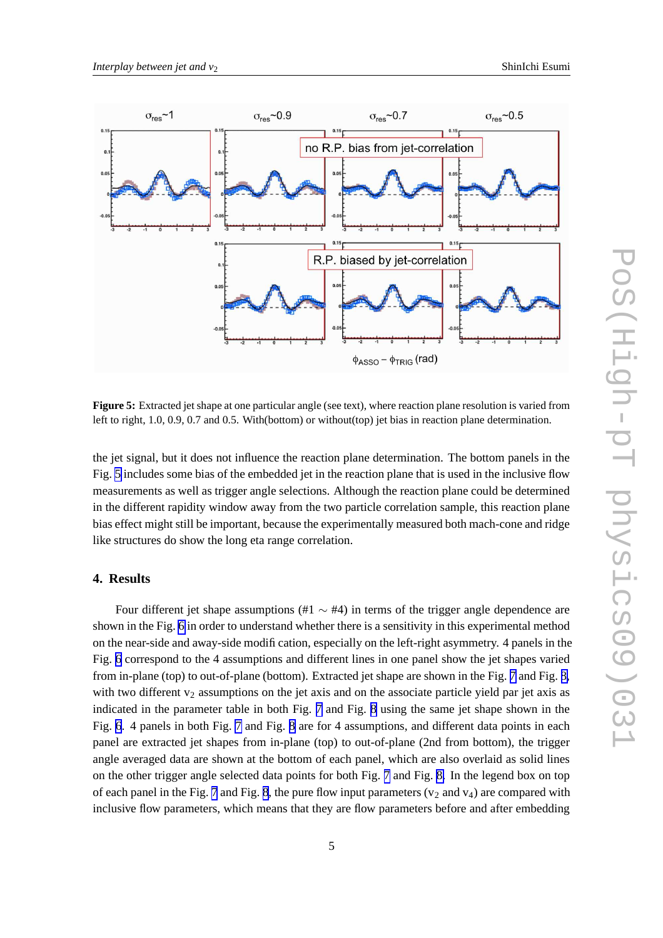<span id="page-4-0"></span>

**Figure** 5: Extracted jet shape at one particular angle (see text), where reaction plane resolution is varied from left to right, 1.0, 0.9, 0.7 and 0.5. With(bottom) or without(top) jet bias in reaction plane determination.

the jet signal, but it does not influence the reaction plane determination. The bottom panels in the Fig. 5 includes some bias of the embedded jet in the reaction plane that is used in the inclusive flow measurements as well as trigger angle selections. Although the reaction plane could be determined in the different rapidity window away from the two particle correlation sample, this reaction plane bias effect might still be important, because the experimentally measured both mach-cone and ridge like structures do show the long eta range correlation.

# **4. Results**

Four different jet shape assumptions (#1  $\sim$  #4) in terms of the trigger angle dependence are shown in the Fig. [6](#page-5-0) in order to understand whether there is a sensitivity in this experimental method on the near-side and away-side modification, especially on the left-right asymmetry. 4 panels in the Fig. [6](#page-5-0) correspond to the 4 assumptions and different lines in one panel show the jet shapes varied from in-plane (top) to out-of-plane (bottom). Extracted jet shape are shown in the Fig. [7](#page-6-0) and Fig. [8,](#page-7-0) with two different  $v_2$  assumptions on the jet axis and on the associate particle yield par jet axis as indicated in the parameter table in both Fig. [7](#page-6-0) and Fig. [8](#page-7-0) using the same jet shape shown in the Fig. [6](#page-5-0). 4 panels in both Fig. [7](#page-6-0) and Fig. [8](#page-7-0) are for 4 assumptions, and different data points in each panel are extracted jet shapes from in-plane (top) to out-of-plane (2nd from bottom), the trigger angle averaged data are shown at the bottom of each panel, which are also overlaid as solid lines on the other trigger angle selected data points for both Fig. [7](#page-6-0) and Fig. [8.](#page-7-0) In the legend box on top of each panel in the Fig. [7](#page-6-0) and Fig. [8](#page-7-0), the pure flow input parameters ( $v_2$  and  $v_4$ ) are compared with inclusive flow parameters, which means that they are flow parameters before and after embedding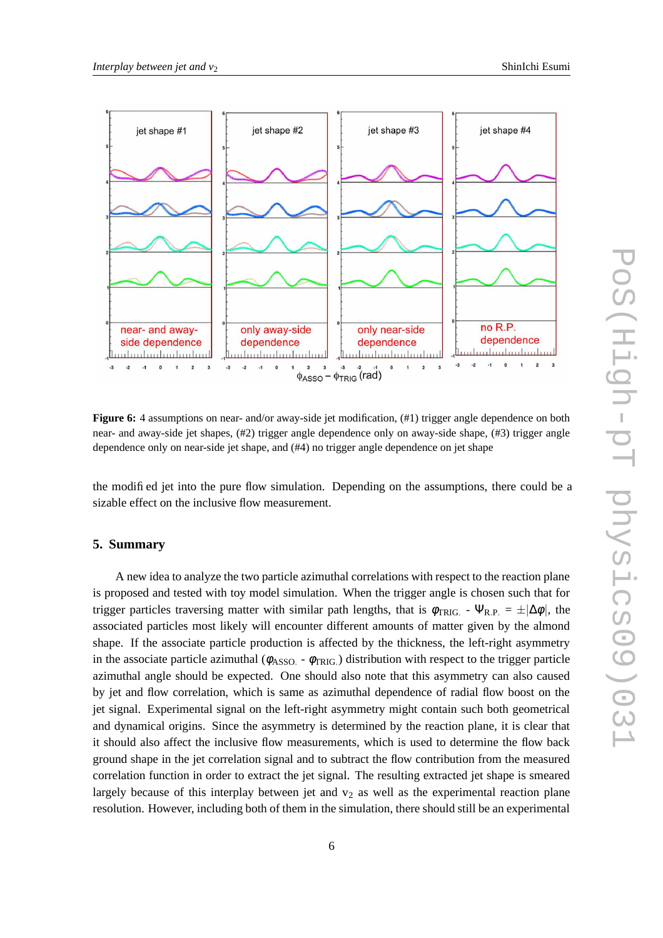<span id="page-5-0"></span>

**Figure 6:** 4 assumptions on near- and/or away-side jet modification,  $(\#1)$  trigger angle dependence on both near- and away-side jet shapes, (#2) trigger angle dependence only on away-side shape, (#3) trigger angle dependence only on near-side jet shape, and (#4) no trigger angle dependence on jet shape

the modified jet into the pure flow simulation. Depending on the assumptions, there could be a sizable effect on the inclusive flow measurement.

# **5. Summary**

A new idea to analyze the two particle azimuthal correlations with respect to the reaction plane is proposed and tested with toy model simulation. When the trigger angle is chosen such that for trigger particles traversing matter with similar path lengths, that is  $\phi_{TRIG}$ . -  $\Psi_{R.P.} = \pm |\Delta \phi|$ , the associated particles most likely will encounter different amounts of matter given by the almond shape. If the associate particle production is affected by the thickness, the left-right asymmetry in the associate particle azimuthal ( $\phi_{\rm ASSO.}$  -  $\phi_{\rm TRIG.}$ ) distribution with respect to the trigger particle azimuthal angle should be expected. One should also note that this asymmetry can also caused by jet and flow correlation, which is same as azimuthal dependence of radial flow boost on the jet signal. Experimental signal on the left-right asymmetry might contain such both geometrical and dynamical origins. Since the asymmetry is determined by the reaction plane, it is clear that it should also affect the inclusive flow measurements, which is used to determine the flow back ground shape in the jet correlation signal and to subtract the flow contribution from the measured correlation function in order to extract the jet signal. The resulting extracted jet shape is smeared largely because of this interplay between jet and  $v<sub>2</sub>$  as well as the experimental reaction plane resolution. However, including both of them in the simulation, there should still be an experimental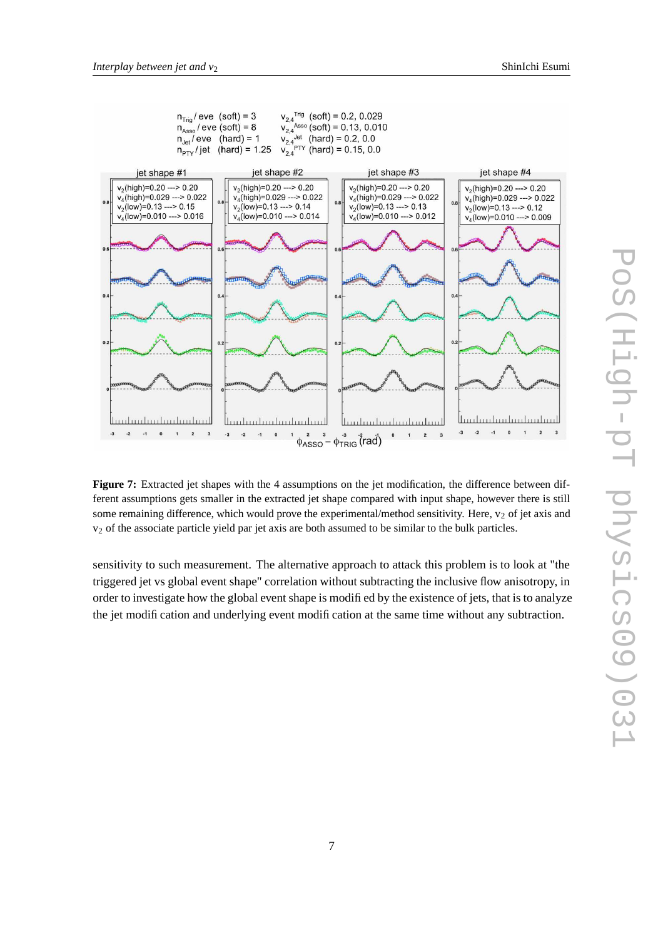<span id="page-6-0"></span>

**Figure** 7: Extracted jet shapes with the 4 assumptions on the jet modification, the difference between different assumptions gets smaller in the extracted jet shape compared with input shape, however there is still some remaining difference, which would prove the experimental/method sensitivity. Here,  $v_2$  of jet axis and v<sup>2</sup> of the associate particle yield par jet axis are both assumed to be similar to the bulk particles.

sensitivity to such measurement. The alternative approach to attack this problem is to look at "the triggered jet vs global event shape" correlation without subtracting the inclusive flow anisotropy, in order to investigate how the global event shape is modified by the existence of jets, that is to analyze the jet modification and underlying event modification at the same time without any subtraction.